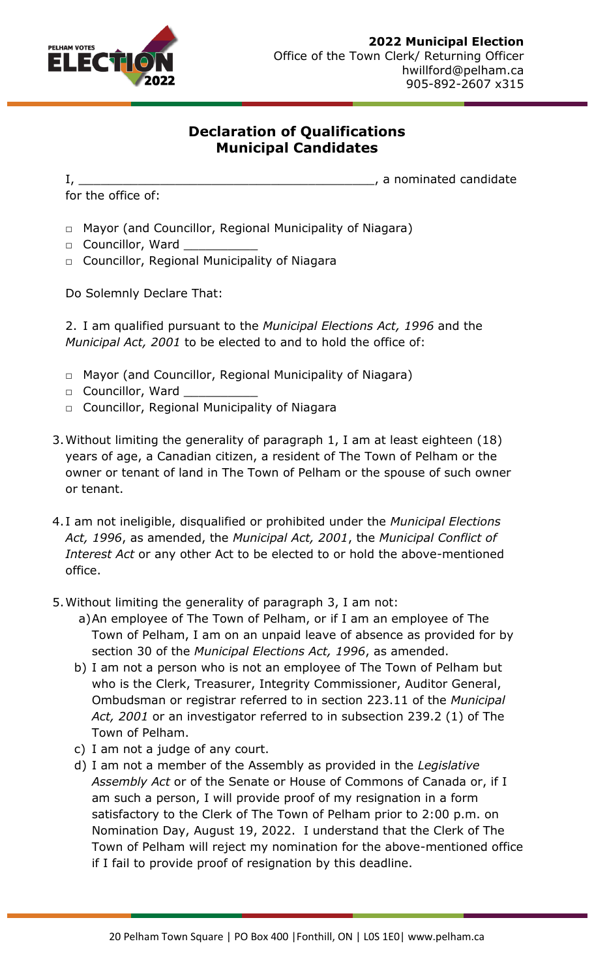

## **Declaration of Qualifications Municipal Candidates**

for the office of:

I, \_\_\_\_\_\_\_\_\_\_\_\_\_\_\_\_\_\_\_\_\_\_\_\_\_\_\_\_\_\_\_\_\_\_\_\_\_\_\_\_, a nominated candidate

- □ Mayor (and Councillor, Regional Municipality of Niagara)
- □ Councillor, Ward
- □ Councillor, Regional Municipality of Niagara

Do Solemnly Declare That:

2. I am qualified pursuant to the *Municipal Elections Act, 1996* and the *Municipal Act, 2001* to be elected to and to hold the office of:

- □ Mayor (and Councillor, Regional Municipality of Niagara)
- □ Councillor, Ward
- □ Councillor, Regional Municipality of Niagara
- 3.Without limiting the generality of paragraph 1, I am at least eighteen (18) years of age, a Canadian citizen, a resident of The Town of Pelham or the owner or tenant of land in The Town of Pelham or the spouse of such owner or tenant.
- 4. I am not ineligible, disqualified or prohibited under the *Municipal Elections Act, 1996*, as amended, the *Municipal Act, 2001*, the *Municipal Conflict of Interest Act* or any other Act to be elected to or hold the above-mentioned office.
- 5.Without limiting the generality of paragraph 3, I am not:
	- a)An employee of The Town of Pelham, or if I am an employee of The Town of Pelham, I am on an unpaid leave of absence as provided for by section 30 of the *Municipal Elections Act, 1996*, as amended.
	- b) I am not a person who is not an employee of The Town of Pelham but who is the Clerk, Treasurer, Integrity Commissioner, Auditor General, Ombudsman or registrar referred to in section 223.11 of the *Municipal Act, 2001* or an investigator referred to in subsection 239.2 (1) of The Town of Pelham.
	- c) I am not a judge of any court.
	- d) I am not a member of the Assembly as provided in the *Legislative Assembly Act* or of the Senate or House of Commons of Canada or, if I am such a person, I will provide proof of my resignation in a form satisfactory to the Clerk of The Town of Pelham prior to 2:00 p.m. on Nomination Day, August 19, 2022. I understand that the Clerk of The Town of Pelham will reject my nomination for the above-mentioned office if I fail to provide proof of resignation by this deadline.